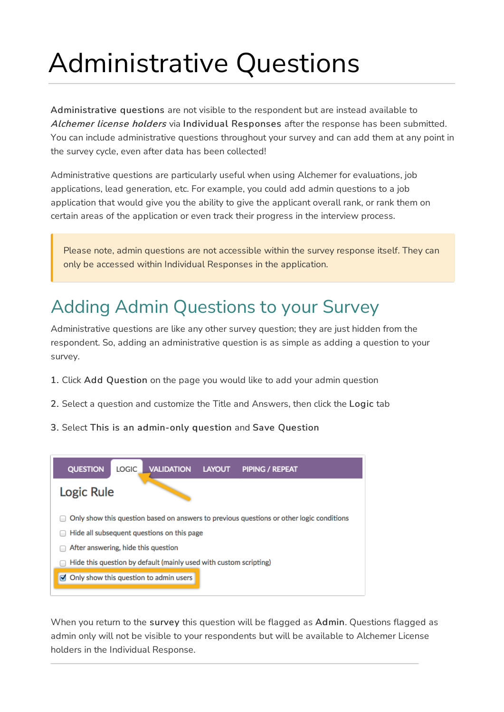# Administrative Questions

Administrative questions are not visible to the respondent but are instead available to Alchemer license holders via Individual Responses after the response has been submitted. You can include administrative questions throughout your survey and can add them at any point in the survey cycle, even after data has been collected!

Administrative questions are particularly useful when using Alchemer for evaluations, job applications, lead generation, etc. For example, you could add admin questions to a job application that would give you the ability to give the applicant overall rank, or rank them on certain areas of the application or even track their progress in the interview process.

Please note, admin questions are not accessible within the survey response itself. They can only be accessed within Individual Responses in the application.

## Adding Admin Questions to your Survey

Administrative questions are like any other survey question; they are just hidden from the respondent. So, adding an administrative question is as simple as adding a question to your survey.

- 1. Click Add Question on the page you would like to add your admin question
- 2. Select a question and customize the Title and Answers, then click the Logic tab
- 3. Select This is an admin-only question and Save Question



When you return to the survey this question will be flagged as Admin. Questions flagged as admin only will not be visible to your respondents but will be available to Alchemer License holders in the Individual Response.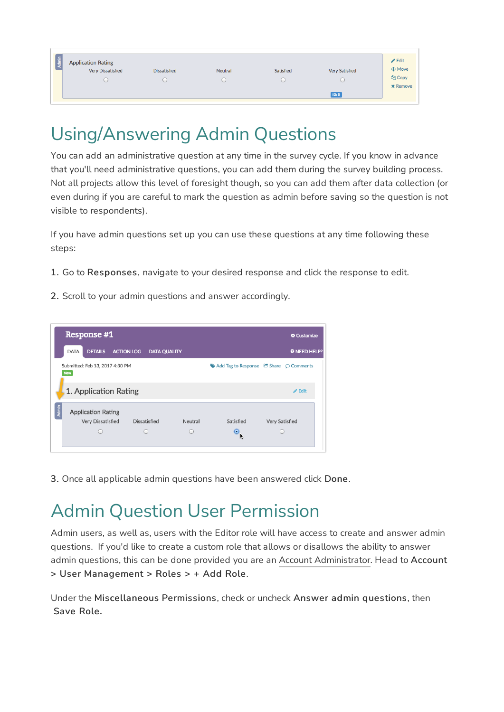| Admin | <b>Application Rating</b><br>Very Dissatisfied | <b>Dissatisfied</b> | Neutral | Satisfied | <b>Very Satisfied</b> | $\triangle$ Edit<br>$+$ Move<br><sup>他</sup> Copy<br><b>x</b> Remove |
|-------|------------------------------------------------|---------------------|---------|-----------|-----------------------|----------------------------------------------------------------------|
|       |                                                |                     |         |           | <b>ID: 5</b>          |                                                                      |

### Using/Answering Admin Questions

You can add an administrative question at any time in the survey cycle. If you know in advance that you'll need administrative questions, you can add them during the survey building process. Not all projects allow this level of foresight though, so you can add them after data collection (or even during if you are careful to mark the question as admin before saving so the question is not visible to respondents).

If you have admin questions set up you can use these questions at any time following these steps:

- 1. Go to Responses, navigate to your desired response and click the response to edit.
- 2. Scroll to your admin questions and answer accordingly.



3. Once all applicable admin questions have been answered click Done.

### Admin Question User Permission

Admin users, as well as, users with the Editor role will have access to create and answer admin questions. If you'd like to create a custom role that allows or disallows the ability to answer admin questions, this can be done provided you are an Account Administrator. Head to Account > User Management > Roles > + Add Role.

Under the Miscellaneous Permissions, check or uncheck Answer admin questions, then Save Role.